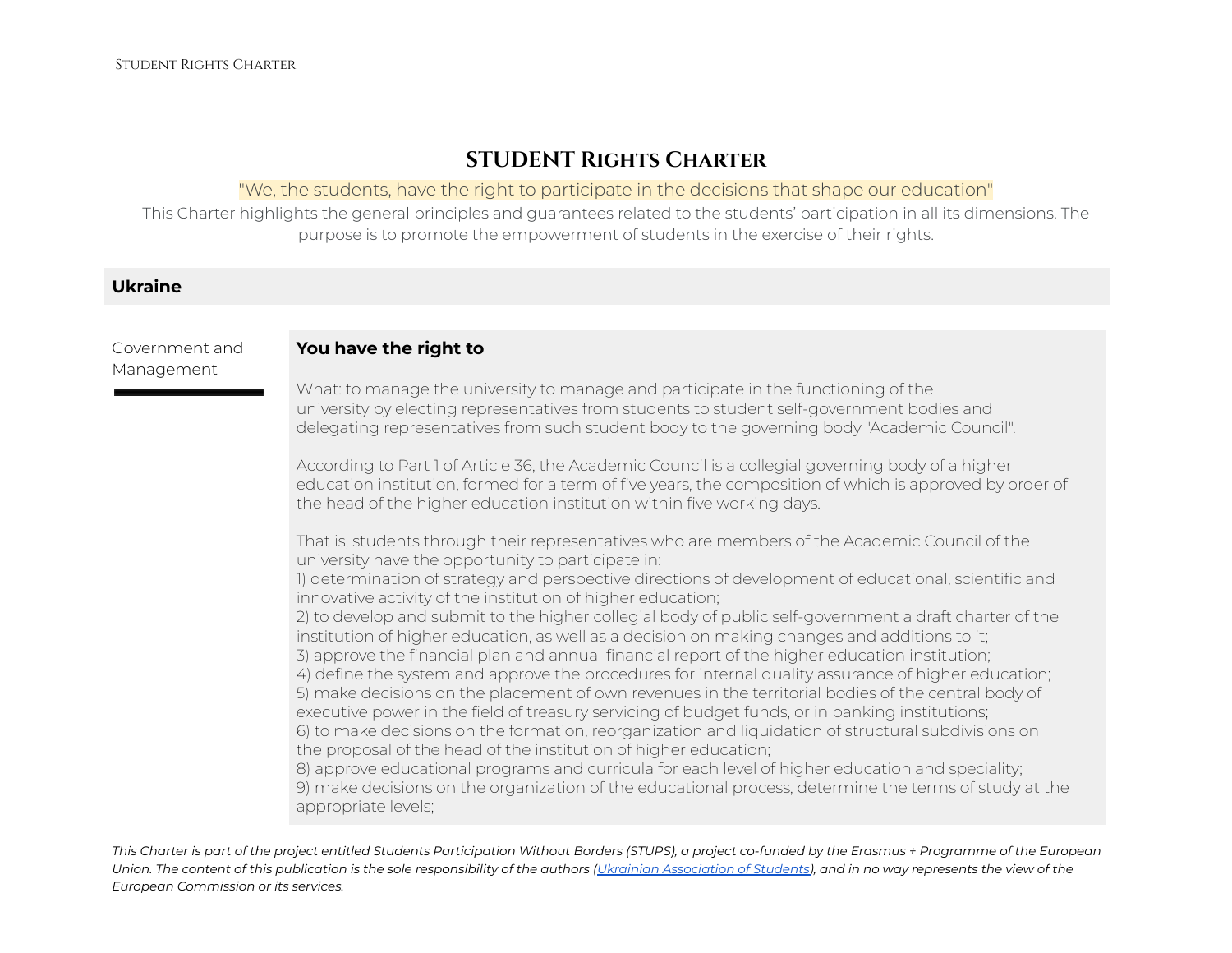# **STUDENT Rights Charter**

#### "We, the students, have the right to participate in the decisions that shape our education"

This Charter highlights the general principles and guarantees related to the students' participation in all its dimensions. The purpose is to promote the empowerment of students in the exercise of their rights.

### **Ukraine**

Management

#### Government and **You have the right to**

What: to manage the university to manage and participate in the functioning of the university by electing representatives from students to student self-government bodies and delegating representatives from such student body to the governing body "Academic Council".

According to Part 1 of Article 36, the Academic Council is a collegial governing body of a higher education institution, formed for a term of five years, the composition of which is approved by order of the head of the higher education institution within five working days.

That is, students through their representatives who are members of the Academic Council of the university have the opportunity to participate in:

1) determination of strategy and perspective directions of development of educational, scientific and innovative activity of the institution of higher education;

2) to develop and submit to the higher collegial body of public self-government a draft charter of the institution of higher education, as well as a decision on making changes and additions to it; 3) approve the financial plan and annual financial report of the higher education institution; 4) define the system and approve the procedures for internal quality assurance of higher education; 5) make decisions on the placement of own revenues in the territorial bodies of the central body of

executive power in the field of treasury servicing of budget funds, or in banking institutions; 6) to make decisions on the formation, reorganization and liquidation of structural subdivisions on the proposal of the head of the institution of higher education;

8) approve educational programs and curricula for each level of higher education and speciality; 9) make decisions on the organization of the educational process, determine the terms of study at the appropriate levels;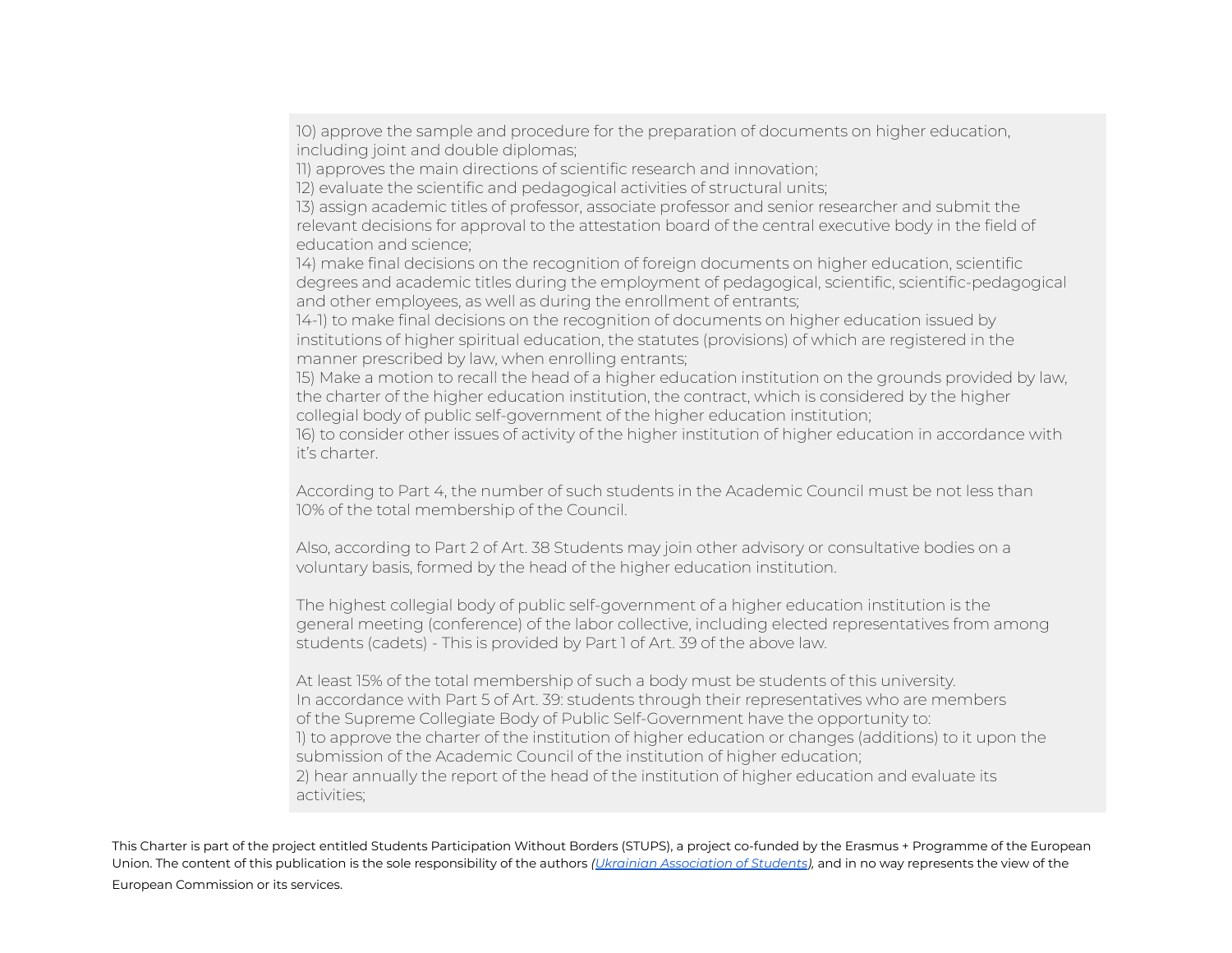10) approve the sample and procedure for the preparation of documents on higher education, including joint and double diplomas;

11) approves the main directions of scientific research and innovation;

12) evaluate the scientific and pedagogical activities of structural units;

13) assign academic titles of professor, associate professor and senior researcher and submit the relevant decisions for approval to the attestation board of the central executive body in the field of education and science;

14) make final decisions on the recognition of foreign documents on higher education, scientific degrees and academic titles during the employment of pedagogical, scientific, scientific-pedagogical and other employees, as well as during the enrollment of entrants;

14-1) to make final decisions on the recognition of documents on higher education issued by institutions of higher spiritual education, the statutes (provisions) of which are registered in the manner prescribed by law, when enrolling entrants;

15) Make a motion to recall the head of a higher education institution on the grounds provided by law, the charter of the higher education institution, the contract, which is considered by the higher collegial body of public self-government of the higher education institution;

16) to consider other issues of activity of the higher institution of higher education in accordance with it's charter.

According to Part 4, the number of such students in the Academic Council must be not less than 10% of the total membership of the Council.

Also, according to Part 2 of Art. 38 Students may join other advisory or consultative bodies on a voluntary basis, formed by the head of the higher education institution.

The highest collegial body of public self-government of a higher education institution is the general meeting (conference) of the labor collective, including elected representatives from among students (cadets) - This is provided by Part 1 of Art. 39 of the above law.

At least 15% of the total membership of such a body must be students of this university. In accordance with Part 5 of Art. 39: students through their representatives who are members of the Supreme Collegiate Body of Public Self-Government have the opportunity to: 1) to approve the charter of the institution of higher education or changes (additions) to it upon the submission of the Academic Council of the institution of higher education; 2) hear annually the report of the head of the institution of higher education and evaluate its activities;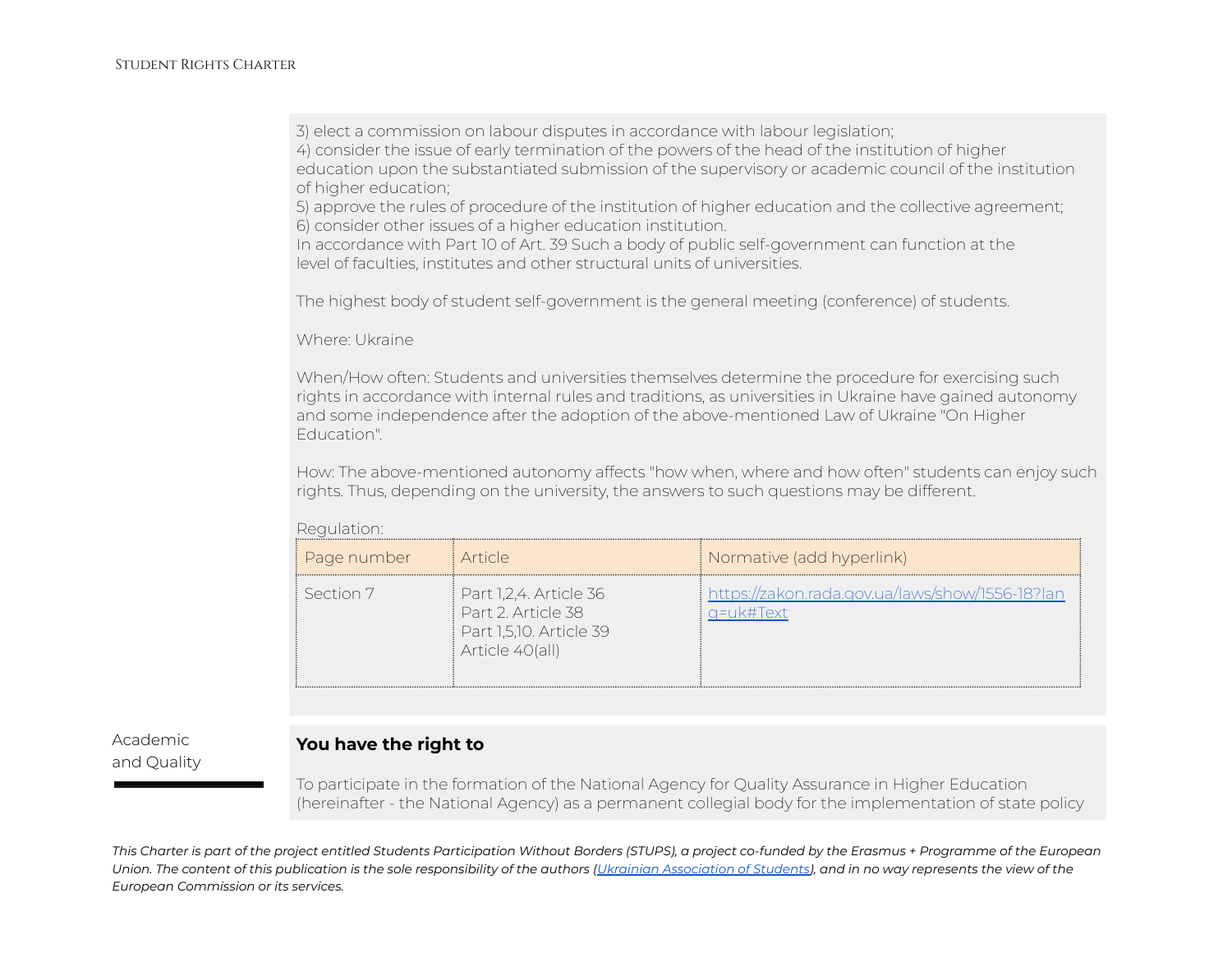3) elect a commission on labour disputes in accordance with labour legislation;

4) consider the issue of early termination of the powers of the head of the institution of higher education upon the substantiated submission of the supervisory or academic council of the institution of higher education;

5) approve the rules of procedure of the institution of higher education and the collective agreement; 6) consider other issues of a higher education institution.

In accordance with Part 10 of Art. 39 Such a body of public self-government can function at the level of faculties, institutes and other structural units of universities.

The highest body of student self-government is the general meeting (conference) of students.

Where: Ukraine

When/How often: Students and universities themselves determine the procedure for exercising such rights in accordance with internal rules and traditions, as universities in Ukraine have gained autonomy and some independence after the adoption of the above-mentioned Law of Ukraine "On Higher Education".

How: The above-mentioned autonomy affects "how when, where and how often" students can enjoy such rights. Thus, depending on the university, the answers to such questions may be different.

Regulation:

| Page number | i Article.                                                                                | Normative (add hyperlink)                                    |
|-------------|-------------------------------------------------------------------------------------------|--------------------------------------------------------------|
| l Section 7 | Part 1,2,4. Article 36<br>Part 2 Article 38<br>Part 1,5,10. Article 39<br>Article 40(all) | https://zakon.rada.gov.ua/laws/show/1556-18?lan<br>q=uk#Text |

Academic and Quality

## **You have the right to**

To participate in the formation of the National Agency for Quality Assurance in Higher Education (hereinafter - the National Agency) as a permanent collegial body for the implementation of state policy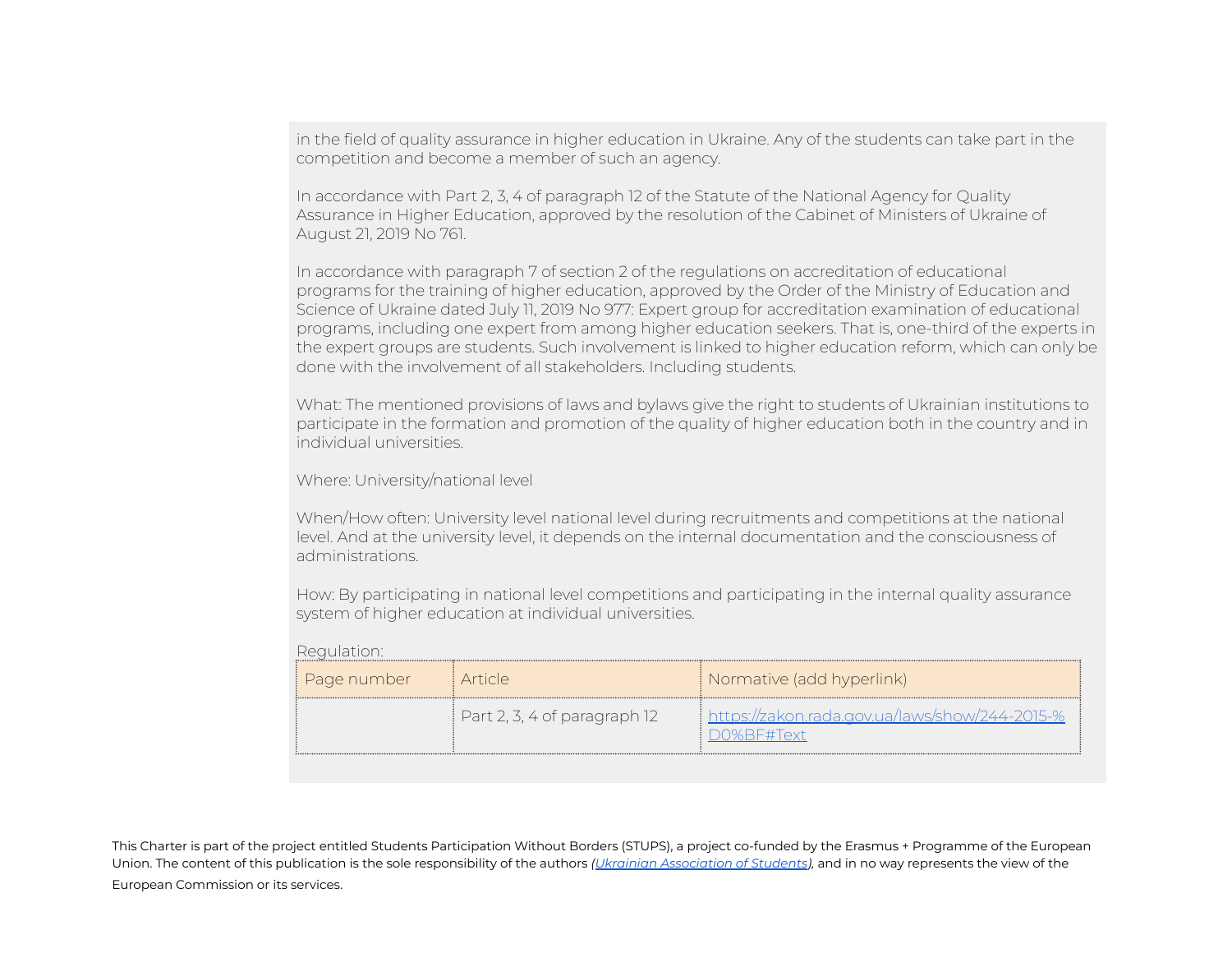in the field of quality assurance in higher education in Ukraine. Any of the students can take part in the competition and become a member of such an agency.

In accordance with Part 2, 3, 4 of paragraph 12 of the Statute of the National Agency for Quality Assurance in Higher Education, approved by the resolution of the Cabinet of Ministers of Ukraine of August 21, 2019 No 761.

In accordance with paragraph 7 of section 2 of the regulations on accreditation of educational programs for the training of higher education, approved by the Order of the Ministry of Education and Science of Ukraine dated July 11, 2019 No 977: Expert group for accreditation examination of educational programs, including one expert from among higher education seekers. That is, one-third of the experts in the expert groups are students. Such involvement is linked to higher education reform, which can only be done with the involvement of all stakeholders. Including students.

What: The mentioned provisions of laws and bylaws give the right to students of Ukrainian institutions to participate in the formation and promotion of the quality of higher education both in the country and in individual universities.

Where: University/national level

When/How often: University level national level during recruitments and competitions at the national level. And at the university level, it depends on the internal documentation and the consciousness of administrations.

How: By participating in national level competitions and participating in the internal quality assurance system of higher education at individual universities.

| ‡ Page number | : Article                                  | <i>[</i> Normative (add hyperlink)                                             |
|---------------|--------------------------------------------|--------------------------------------------------------------------------------|
|               | $\frac{1}{2}$ Part 2, 3, 4 of paragraph 12 | $\frac{1}{2}$ https://zakon.rada.gov.ua/laws/show/244-2015-%<br>$D0\%$ RE#Text |

Regulation: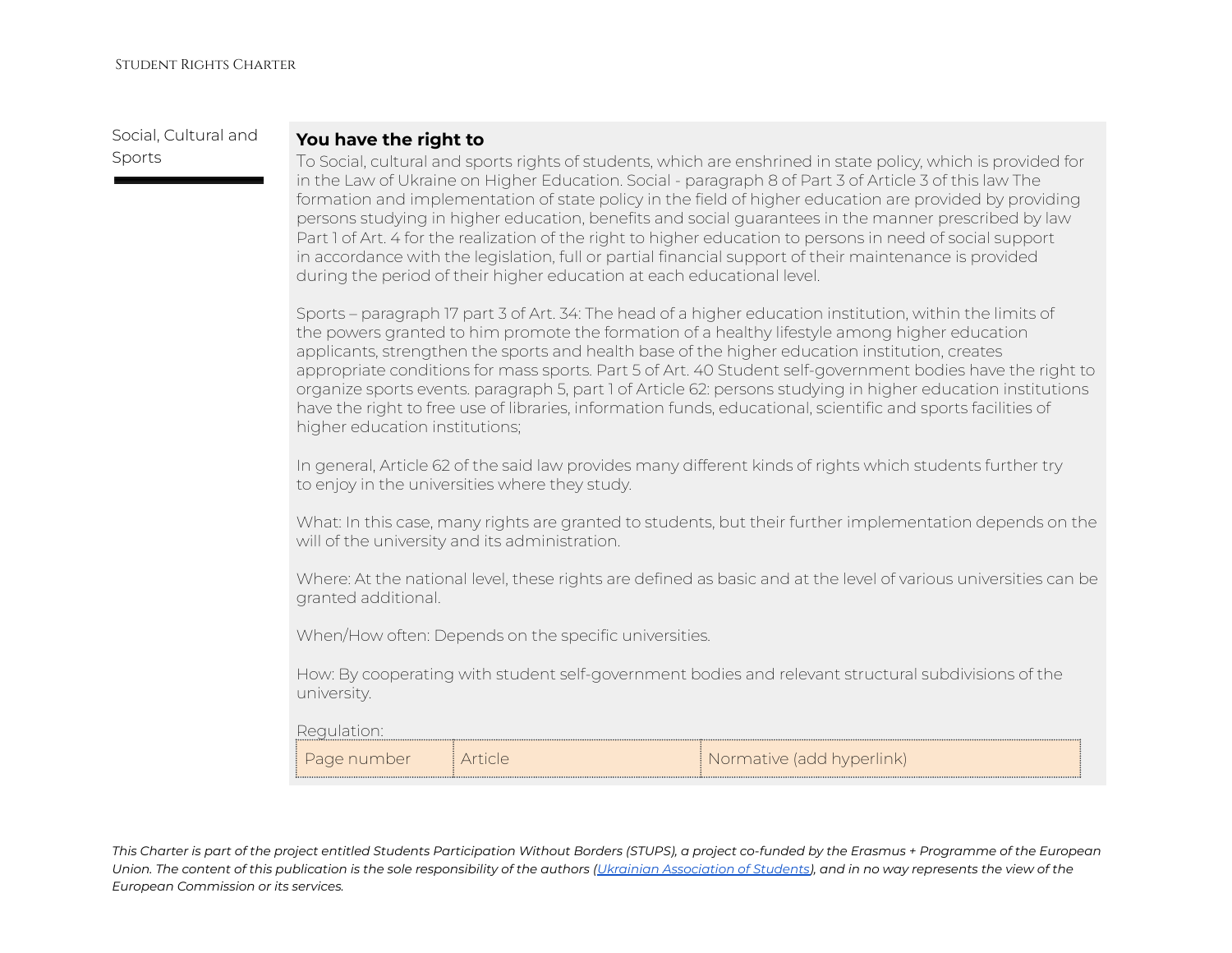Social, Cultural and Sports

### **You have the right to**

To Social, cultural and sports rights of students, which are enshrined in state policy, which is provided for in the Law of Ukraine on Higher Education. Social - paragraph 8 of Part 3 of Article 3 of this law The formation and implementation of state policy in the field of higher education are provided by providing persons studying in higher education, benefits and social guarantees in the manner prescribed by law Part 1 of Art. 4 for the realization of the right to higher education to persons in need of social support in accordance with the legislation, full or partial financial support of their maintenance is provided during the period of their higher education at each educational level.

Sports – paragraph 17 part 3 of Art. 34: The head of a higher education institution, within the limits of the powers granted to him promote the formation of a healthy lifestyle among higher education applicants, strengthen the sports and health base of the higher education institution, creates appropriate conditions for mass sports. Part 5 of Art. 40 Student self-government bodies have the right to organize sports events. paragraph 5, part 1 of Article 62: persons studying in higher education institutions have the right to free use of libraries, information funds, educational, scientific and sports facilities of higher education institutions;

In general, Article 62 of the said law provides many different kinds of rights which students further try to enjoy in the universities where they study.

What: In this case, many rights are granted to students, but their further implementation depends on the will of the university and its administration.

Where: At the national level, these rights are defined as basic and at the level of various universities can be granted additional.

When/How often: Depends on the specific universities.

How: By cooperating with student self-government bodies and relevant structural subdivisions of the university.

#### Regulation:

| . Page number | ATICF | Normative (add hyperlink) |  |
|---------------|-------|---------------------------|--|
|               |       |                           |  |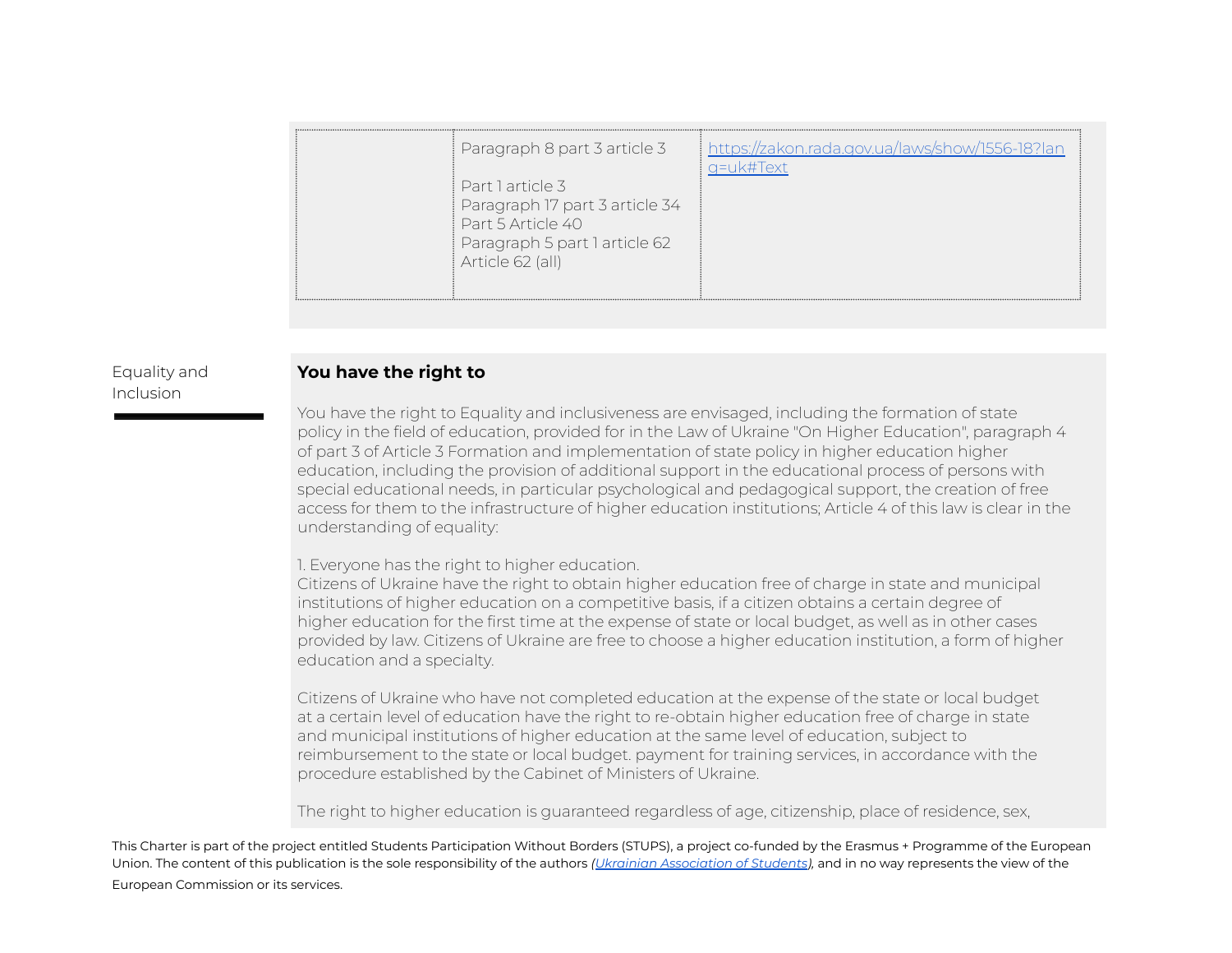| Paragraph 8 part 3 article 3<br>Part Larticle 3<br>Paragraph 17 part 3 article 34<br>Part 5 Article 40<br>Paragraph 5 part 1 article 62 | https://zakon.rada.gov.ua/laws/show/1556-18?lan<br>¤=uk#Text |
|-----------------------------------------------------------------------------------------------------------------------------------------|--------------------------------------------------------------|
| Article 62 (all)                                                                                                                        |                                                              |

### Equality and Inclusion

### **You have the right to**

You have the right to Equality and inclusiveness are envisaged, including the formation of state policy in the field of education, provided for in the Law of Ukraine "On Higher Education", paragraph 4 of part 3 of Article 3 Formation and implementation of state policy in higher education higher education, including the provision of additional support in the educational process of persons with special educational needs, in particular psychological and pedagogical support, the creation of free access for them to the infrastructure of higher education institutions; Article 4 of this law is clear in the understanding of equality:

1. Everyone has the right to higher education.

Citizens of Ukraine have the right to obtain higher education free of charge in state and municipal institutions of higher education on a competitive basis, if a citizen obtains a certain degree of higher education for the first time at the expense of state or local budget, as well as in other cases provided by law. Citizens of Ukraine are free to choose a higher education institution, a form of higher education and a specialty.

Citizens of Ukraine who have not completed education at the expense of the state or local budget at a certain level of education have the right to re-obtain higher education free of charge in state and municipal institutions of higher education at the same level of education, subject to reimbursement to the state or local budget. payment for training services, in accordance with the procedure established by the Cabinet of Ministers of Ukraine.

The right to higher education is guaranteed regardless of age, citizenship, place of residence, sex,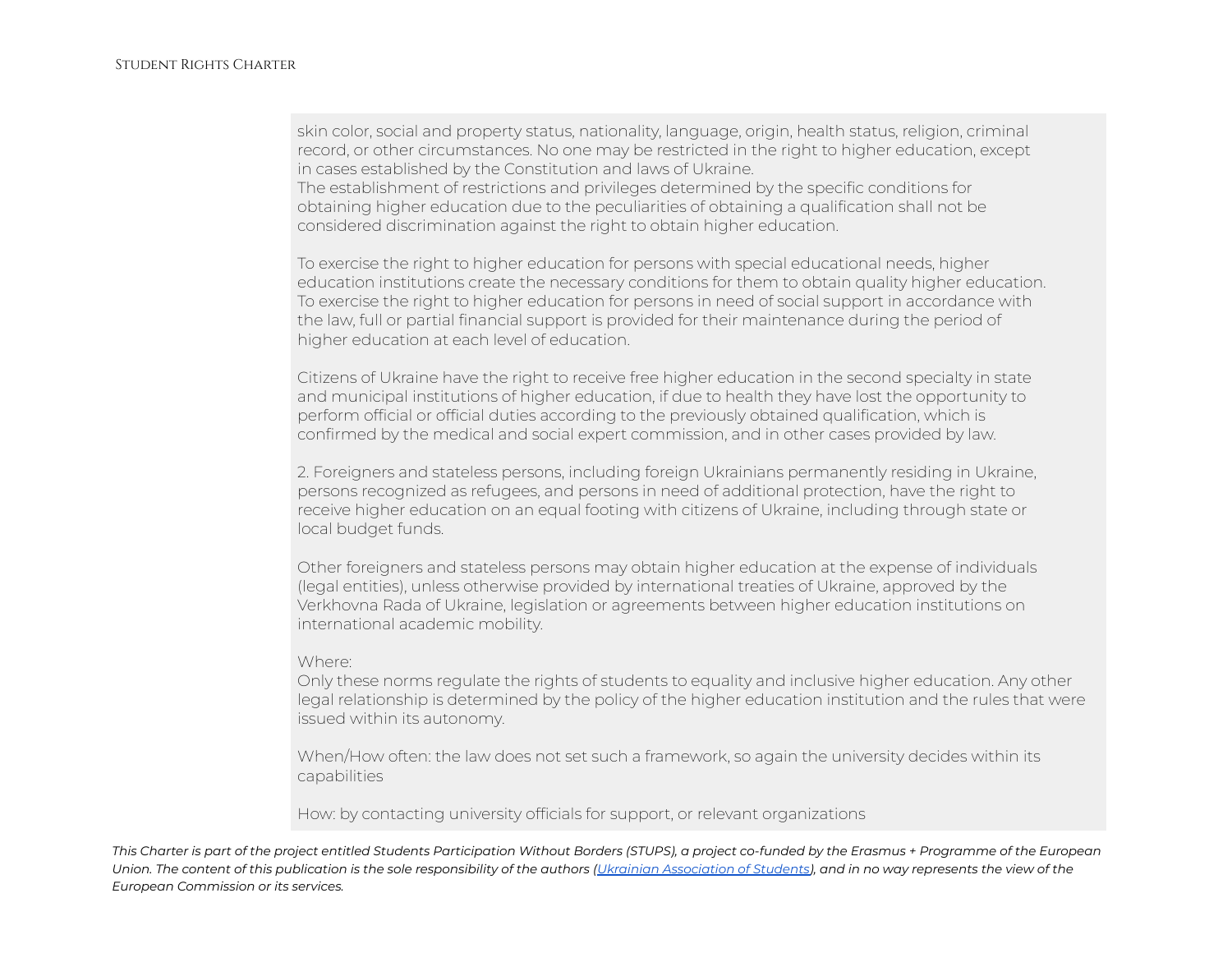skin color, social and property status, nationality, language, origin, health status, religion, criminal record, or other circumstances. No one may be restricted in the right to higher education, except in cases established by the Constitution and laws of Ukraine.

The establishment of restrictions and privileges determined by the specific conditions for obtaining higher education due to the peculiarities of obtaining a qualification shall not be considered discrimination against the right to obtain higher education.

To exercise the right to higher education for persons with special educational needs, higher education institutions create the necessary conditions for them to obtain quality higher education. To exercise the right to higher education for persons in need of social support in accordance with the law, full or partial financial support is provided for their maintenance during the period of higher education at each level of education.

Citizens of Ukraine have the right to receive free higher education in the second specialty in state and municipal institutions of higher education, if due to health they have lost the opportunity to perform official or official duties according to the previously obtained qualification, which is confirmed by the medical and social expert commission, and in other cases provided by law.

2. Foreigners and stateless persons, including foreign Ukrainians permanently residing in Ukraine, persons recognized as refugees, and persons in need of additional protection, have the right to receive higher education on an equal footing with citizens of Ukraine, including through state or local budget funds.

Other foreigners and stateless persons may obtain higher education at the expense of individuals (legal entities), unless otherwise provided by international treaties of Ukraine, approved by the Verkhovna Rada of Ukraine, legislation or agreements between higher education institutions on international academic mobility.

#### Where:

Only these norms regulate the rights of students to equality and inclusive higher education. Any other legal relationship is determined by the policy of the higher education institution and the rules that were issued within its autonomy.

When/How often: the law does not set such a framework, so again the university decides within its capabilities

How: by contacting university officials for support, or relevant organizations